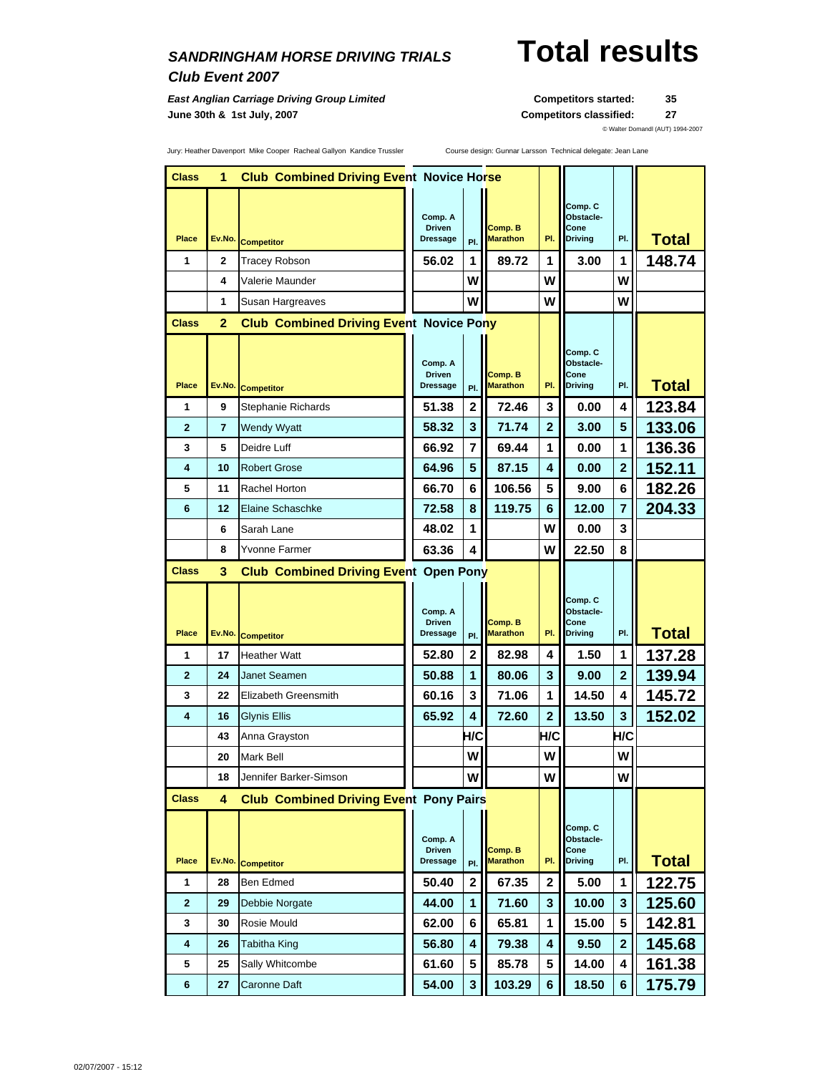### *Club Event 2007*

**East Anglian Carriage Driving Group Limited <b>Competitors Started:** 35 **June 30th & 1st July, 2007 Competitors classified: 27**

# *SANDRINGHAM HORSE DRIVING TRIALS* **Total results**

© Walter Domandl (AUT) 1994-2007

Jury: Heather Davenport Mike Cooper Racheal Gallyon Kandice Trussler Course design: Gunnar Larsson Technical delegate: Jean Lane

| <b>Class</b>   | 1      | <b>Club Combined Driving Event Novice Horse</b> |  |                           |                |                            |                |                        |                |              |
|----------------|--------|-------------------------------------------------|--|---------------------------|----------------|----------------------------|----------------|------------------------|----------------|--------------|
|                |        |                                                 |  |                           |                |                            |                | Comp. C                |                |              |
|                |        |                                                 |  | Comp. A<br><b>Driven</b>  |                | Comp. B                    |                | Obstacle-<br>Cone      |                |              |
| <b>Place</b>   | Ev.No. | <b>Competitor</b>                               |  | <b>Dressage</b>           | PI.            | <b>Marathon</b>            | PI.            | <b>Driving</b>         | PI.            | <b>Total</b> |
| 1              | 2      | Tracey Robson                                   |  | 56.02                     | 1              | 89.72                      | 1              | 3.00                   | 1              | 148.74       |
|                | 4      | Valerie Maunder                                 |  |                           | w              |                            | w              |                        | W              |              |
|                | 1      | Susan Hargreaves                                |  |                           | w              |                            | w              |                        | W              |              |
| <b>Class</b>   | 2      | <b>Club Combined Driving Event Novice Pony</b>  |  |                           |                |                            |                |                        |                |              |
|                |        |                                                 |  |                           |                |                            |                | Comp. C                |                |              |
|                |        |                                                 |  | Comp. A<br><b>Driven</b>  |                | Comp. B                    |                | Obstacle-<br>Cone      |                |              |
| Place          | Ev.No. | <b>Competitor</b>                               |  | Dressage                  | PI.            | <b>Marathon</b>            | PI.            | <b>Driving</b>         | PI.            | <b>Total</b> |
| 1              | 9      | Stephanie Richards                              |  | 51.38                     | 2              | 72.46                      | 3              | 0.00                   | 4              | 123.84       |
| $\mathbf{2}$   | 7      | <b>Wendy Wyatt</b>                              |  | 58.32                     | 3              | 71.74                      | $\mathbf{2}$   | 3.00                   | 5              | 133.06       |
| 3              | 5      | Deidre Luff                                     |  | 66.92                     | 7              | 69.44                      | 1              | 0.00                   | 1              | 136.36       |
| 4              | 10     | <b>Robert Grose</b>                             |  | 64.96                     | 5              | 87.15                      | 4              | 0.00                   | $\overline{2}$ | 152.11       |
| 5              | 11     | Rachel Horton                                   |  | 66.70                     | 6              | 106.56                     | 5              | 9.00                   | 6              | 182.26       |
| 6              | 12     | Elaine Schaschke                                |  | 72.58                     | 8              | 119.75                     | 6              | 12.00                  | $\overline{7}$ | 204.33       |
|                | 6      | Sarah Lane                                      |  | 48.02                     | 1              |                            | W              | 0.00                   | 3              |              |
|                | 8      | Yvonne Farmer                                   |  | 63.36                     | 4              |                            | w              | 22.50                  | 8              |              |
| Class          | 3      | <b>Club Combined Driving Event Open Pony</b>    |  |                           |                |                            |                |                        |                |              |
|                |        |                                                 |  |                           |                |                            |                | Comp. C                |                |              |
|                |        |                                                 |  | Comp. A<br><b>Driven</b>  |                | Comp. B                    |                | Obstacle-<br>Cone      |                |              |
| Place          | Ev.No. | <b>Competitor</b>                               |  | <b>Dressage</b>           | PI.            | <b>Marathon</b>            | PI.            | <b>Driving</b>         | PI.            | <b>Total</b> |
| 1              | 17     | <b>Heather Watt</b>                             |  | 52.80                     | $\overline{2}$ | 82.98                      | 4              | 1.50                   | 1              | 137.28       |
| $\overline{2}$ | 24     | <b>Janet Seamen</b>                             |  | 50.88                     | 1              | 80.06                      | 3              | 9.00                   | $\overline{2}$ | 139.94       |
| 3              | 22     | Elizabeth Greensmith                            |  | 60.16                     | 3              | 71.06                      | 1              | 14.50                  | 4              | 145.72       |
| 4              | 16     | Glynis Ellis                                    |  | 65.92                     | 4              | 72.60                      | $\overline{2}$ | 13.50                  | 3              | 152.02       |
|                | 43     | Anna Grayston                                   |  |                           | H/C            |                            | H/C            |                        | H/C            |              |
|                | 20     | Mark Bell                                       |  |                           | W              |                            | W              |                        | W              |              |
|                | 18     | Jennifer Barker-Simson                          |  |                           | w              |                            | W              |                        | W              |              |
| <b>Class</b>   | 4      | <b>Club Combined Driving Event Pony Pairs</b>   |  |                           |                |                            |                |                        |                |              |
|                |        |                                                 |  |                           |                |                            |                | Comp. C                |                |              |
|                |        |                                                 |  | Comp. A                   |                |                            |                | Obstacle-              |                |              |
| Place          | Ev.No. | <b>Competitor</b>                               |  | <b>Driven</b><br>Dressage | PI.            | Comp. B<br><b>Marathon</b> | PI.            | Cone<br><b>Driving</b> | PI.            | <b>Total</b> |
| 1              | 28     | Ben Edmed                                       |  | 50.40                     | $\mathbf 2$    | 67.35                      | $\mathbf{2}$   | 5.00                   | 1              | 122.75       |
| 2              | 29     | Debbie Norgate                                  |  | 44.00                     | 1              | 71.60                      | 3              | 10.00                  | 3              | 125.60       |
| 3              | 30     | Rosie Mould                                     |  | 62.00                     | 6              | 65.81                      | 1              | 15.00                  | 5              | 142.81       |
| 4              | 26     | Tabitha King                                    |  | 56.80                     | 4              | 79.38                      | 4              | 9.50                   | $\mathbf{2}$   | 145.68       |
| 5              | 25     | Sally Whitcombe                                 |  | 61.60                     | 5              | 85.78                      | 5              | 14.00                  | 4              | 161.38       |
| $\bf 6$        | 27     | Caronne Daft                                    |  | 54.00                     | 3              | 103.29                     | 6              | 18.50                  | 6              | 175.79       |